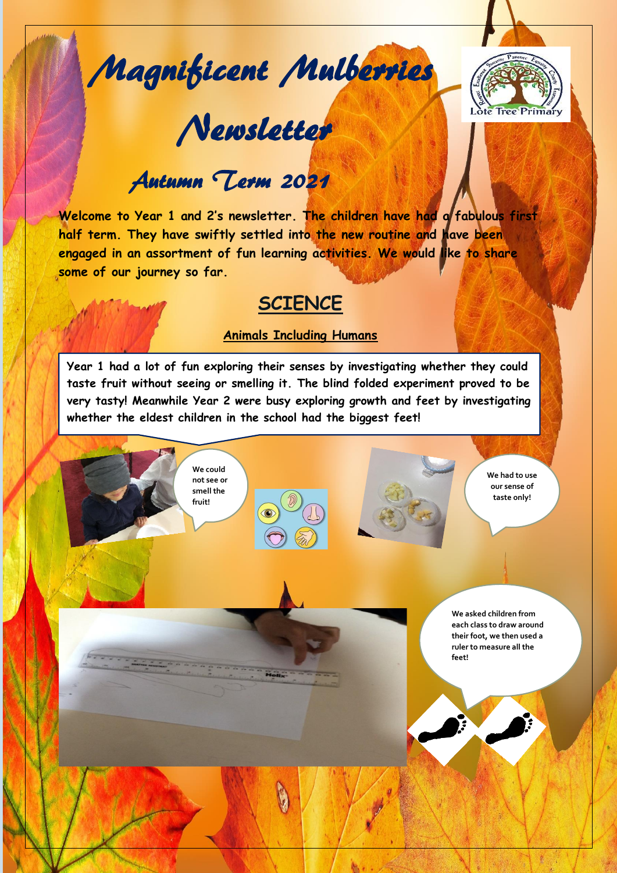Magnificent Mulberries

Newsletter



# Autumn Term 2021

**Welcome to Year 1 and 2's newsletter. The children have had a fabulous first half term. They have swiftly settled into the new routine and have been engaged in an assortment of fun learning activities. We would like to share some of our journey so far.**

### **SCIENCE**

#### **Animals Including Humans**

J **Year 1 had a lot of fun exploring their senses by investigating whether they could taste fruit without seeing or smelling it. The blind folded experiment proved to be very tasty! Meanwhile Year 2 were busy exploring growth and feet by investigating whether the eldest children in the school had the biggest feet!** 

> **We could not see or smell the fruit!**

ļ



**We had to use our sense of taste only!**

**We asked children from each class to draw around their foot, we then used a ruler to measure all the feet!**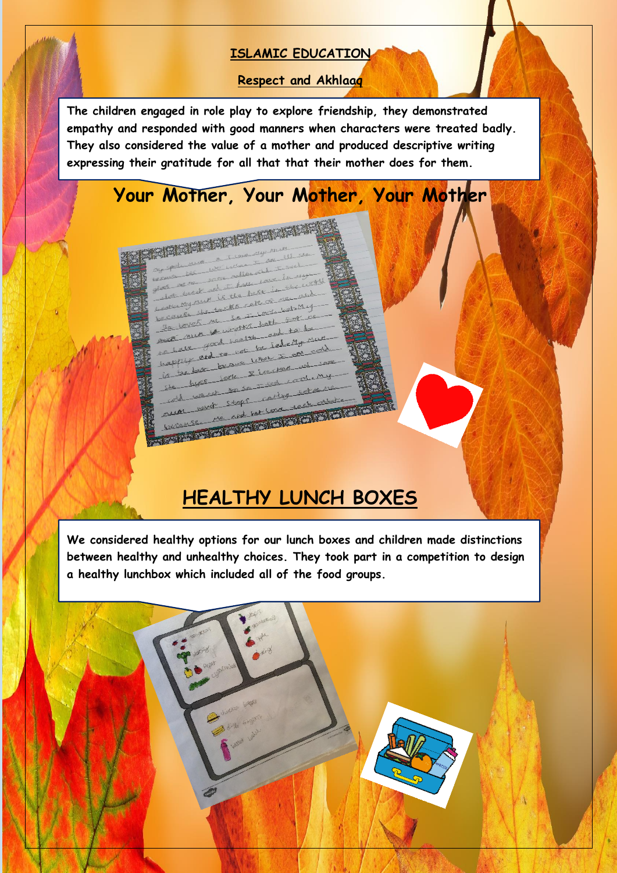#### **ISLAMIC EDUCATION**

**Respect and Akhlaaq**

**The children engaged in role play to explore friendship, they demonstrated empathy and responded with good manners when characters were treated badly. They also considered the value of a mother and produced descriptive writing expressing their gratitude for all that that their mother does for them.**

I

I

## **Your Mother, Your Mother, Your Mother**

**CARL AND READY AND INCOME.** 

re somewhat

stops

 $11\mu$ 

and het love

betek allen tacks

and

never

nè RESERVE MODEL

## **HEALTHY LUNCH BOXES**

**We considered healthy options for our lunch boxes and children made distinctions between healthy and unhealthy choices. They took part in a competition to design a healthy lunchbox which included all of the food groups.**